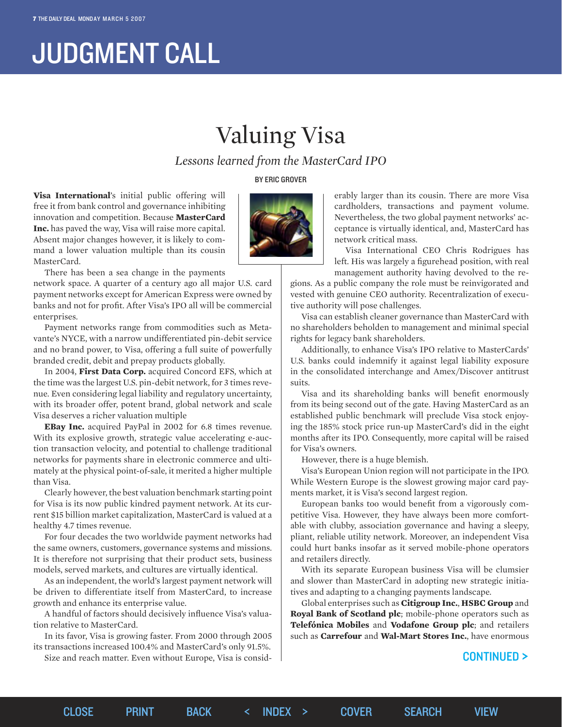# JUDGMENT CALL

## Valuing Visa

*Lessons learned from the MasterCard IPO*

BY ERIC GROVER

**Visa International**'s initial public offering will free it from bank control and governance inhibiting innovation and competition. Because **MasterCard Inc.** has paved the way, Visa will raise more capital. Absent major changes however, it is likely to command a lower valuation multiple than its cousin MasterCard.



There has been a sea change in the payments

network space. A quarter of a century ago all major U.S. card payment networks except for American Express were owned by banks and not for profit. After Visa's IPO all will be commercial enterprises.

Payment networks range from commodities such as Metavante's NYCE, with a narrow undifferentiated pin-debit service and no brand power, to Visa, offering a full suite of powerfully branded credit, debit and prepay products globally.

In 2004, **First Data Corp.** acquired Concord EFS, which at the time was the largest U.S. pin-debit network, for 3 times revenue. Even considering legal liability and regulatory uncertainty, with its broader offer, potent brand, global network and scale Visa deserves a richer valuation multiple

**EBay Inc.** acquired PayPal in 2002 for 6.8 times revenue. With its explosive growth, strategic value accelerating e-auction transaction velocity, and potential to challenge traditional networks for payments share in electronic commerce and ultimately at the physical point-of-sale, it merited a higher multiple than Visa.

Clearly however, the best valuation benchmark starting point for Visa is its now public kindred payment network. At its current \$15 billion market capitalization, MasterCard is valued at a healthy 4.7 times revenue.

For four decades the two worldwide payment networks had the same owners, customers, governance systems and missions. It is therefore not surprising that their product sets, business models, served markets, and cultures are virtually identical.

As an independent, the world's largest payment network will be driven to differentiate itself from MasterCard, to increase growth and enhance its enterprise value.

A handful of factors should decisively influence Visa's valuation relative to MasterCard.

In its favor, Visa is growing faster. From 2000 through 2005 its transactions increased 100.4% and MasterCard's only 91.5%.

Size and reach matter. Even without Europe, Visa is consid-

erably larger than its cousin. There are more Visa cardholders, transactions and payment volume. Nevertheless, the two global payment networks' acceptance is virtually identical, and, MasterCard has network critical mass.

Visa International CEO Chris Rodrigues has left. His was largely a figurehead position, with real management authority having devolved to the re-

gions. As a public company the role must be reinvigorated and vested with genuine CEO authority. Recentralization of executive authority will pose challenges.

Visa can establish cleaner governance than MasterCard with no shareholders beholden to management and minimal special rights for legacy bank shareholders.

Additionally, to enhance Visa's IPO relative to MasterCards' U.S. banks could indemnify it against legal liability exposure in the consolidated interchange and Amex/Discover antitrust suits.

Visa and its shareholding banks will benefit enormously from its being second out of the gate. Having MasterCard as an established public benchmark will preclude Visa stock enjoying the 185% stock price run-up MasterCard's did in the eight months after its IPO. Consequently, more capital will be raised for Visa's owners.

However, there is a huge blemish.

Visa's European Union region will not participate in the IPO. While Western Europe is the slowest growing major card payments market, it is Visa's second largest region.

European banks too would benefit from a vigorously competitive Visa. However, they have always been more comfortable with clubby, association governance and having a sleepy, pliant, reliable utility network. Moreover, an independent Visa could hurt banks insofar as it served mobile-phone operators and retailers directly.

With its separate European business Visa will be clumsier and slower than MasterCard in adopting new strategic initiatives and adapting to a changing payments landscape.

Global enterprises such as **Citigroup Inc.**, **HSBC Group** and **Royal Bank of Scotland plc**; mobile-phone operators such as **Telefónica Mobiles** and **Vodafone Group plc**; and retailers such as **Carrefour** and **Wal-Mart Stores Inc.**, have enormous

#### CONTINUED >